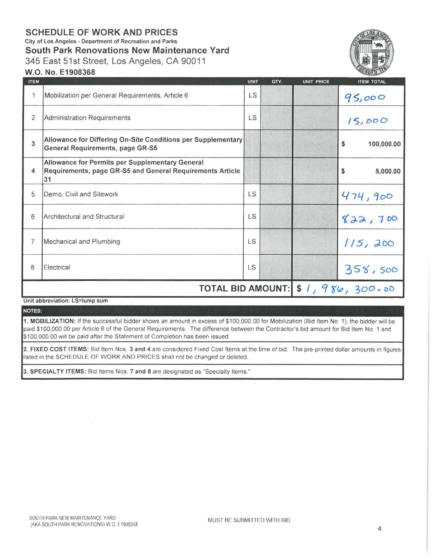## **SCHEDULE OF WORK AND PRICES**

City of Los Angeles - Department of Recreation and Parks

**South Park Renovations New Maintenance Yard** 

345 East 51st Street, Los Angeles, CA 90011



## W.O. No. E1908368

| <b>ITEM</b>    |                                                                                                                    | <b>UNIT</b> | QTY. | <b>UNIT PRICE</b> | <b>ITEM TOTAL</b>                   |
|----------------|--------------------------------------------------------------------------------------------------------------------|-------------|------|-------------------|-------------------------------------|
| 1              | Mobilization per General Requirements, Article 6                                                                   | <b>LS</b>   |      |                   | 95,000                              |
| $\overline{2}$ | Administration Requirements                                                                                        | LS          |      |                   | 15,000                              |
| 3              | Allowance for Differing On-Site Conditions per Supplementary<br>General Requirements, page GR-S5                   |             |      |                   | 100,000.00<br>\$                    |
| 4              | Allowance for Permits per Supplementary General<br>Requirements, page GR-S5 and General Requirements Article<br>31 |             |      |                   | \$<br>5,000.00                      |
| 5              | Demo, Civil and Sitework                                                                                           | <b>LS</b>   |      |                   | 474,900                             |
| 6              | Architectural and Structural                                                                                       | <b>LS</b>   |      |                   | 822,700                             |
| 7              | Mechanical and Plumbing                                                                                            | LS          |      |                   | 115,200                             |
| 8              | Electrical                                                                                                         | <b>LS</b>   |      |                   | 358,500                             |
|                |                                                                                                                    |             |      |                   | TOTAL BID AMOUNT: \$ 1, 986, 300.00 |

Unit abbreviation: LS=lump sum

NOTES:

1. MOBILIZATION: If the successful bidder shows an amount in excess of \$100,000.00 for Mobilization (Bid Item No. 1), the bidder will be paid \$100,000.00 per Article 6 of the General Requirements. The difference between the Contractor's bid amount for Bid Item No. 1 and \$100,000.00 will be paid after the Statement of Completion has been issued.

2. FIXED COST ITEMS: Bid Item Nos. 3 and 4 are considered Fixed Cost Items at the time of bid. The pre-printed dollar amounts in figures listed in the SCHEDULE OF WORK AND PRICES shall not be changed or deleted.

3. SPECIALTY ITEMS: Bid Items Nos. 7 and 8 are designated as "Specialty Items."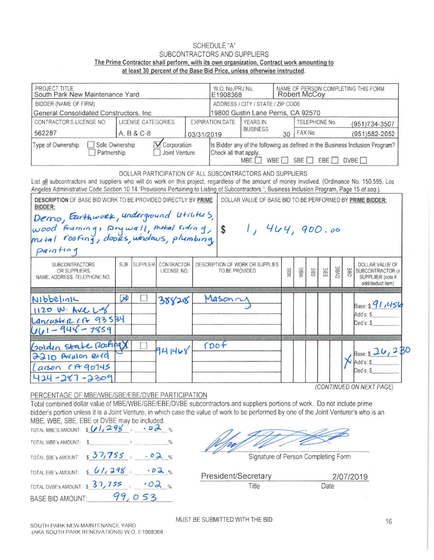## SCHEDULE "A" SUBCONTRACTORS AND SUPPLIERS The Prime Contractor shall perform, with its own organization, Contract work amounting to at least 30 percent of the Base Bid Price, unless otherwise instructed.

| PROJECT TITLE<br>South Park New Maintenance Yard                                                                                                                                                                                                                                                  | W.O. No./PRJ No.<br>E1908368          | NAME OF PERSON COMPLETING THIS FORM<br>Robert McCoy                                                                                                                      |                           |  |                |                                                           |     |                |     |     |             |     |                                                                                                                                |  |
|---------------------------------------------------------------------------------------------------------------------------------------------------------------------------------------------------------------------------------------------------------------------------------------------------|---------------------------------------|--------------------------------------------------------------------------------------------------------------------------------------------------------------------------|---------------------------|--|----------------|-----------------------------------------------------------|-----|----------------|-----|-----|-------------|-----|--------------------------------------------------------------------------------------------------------------------------------|--|
| BIDDER (NAME OF FIRM)                                                                                                                                                                                                                                                                             |                                       | ADDRESS / CITY / STATE / ZIP CODE                                                                                                                                        |                           |  |                |                                                           |     |                |     |     |             |     |                                                                                                                                |  |
| General Consolidated Constructors, Inc.                                                                                                                                                                                                                                                           | 19800 Gustin Lane Perris, CA 92570    |                                                                                                                                                                          |                           |  |                |                                                           |     |                |     |     |             |     |                                                                                                                                |  |
| CONTRACTOR'S LICENSE NO.                                                                                                                                                                                                                                                                          |                                       | <b>YEARS IN</b><br><b>EXPIRATION DATE</b>                                                                                                                                |                           |  |                | TELEPHONE No.                                             |     | (951) 734-3507 |     |     |             |     |                                                                                                                                |  |
| 562287                                                                                                                                                                                                                                                                                            |                                       | A, B & C-8<br>03/31/2019                                                                                                                                                 |                           |  |                | <b>BUSINESS</b>                                           | 30  | FAX No.        |     |     |             |     | (951) 582-2052                                                                                                                 |  |
| Sole Ownership<br>Type of Ownership:<br>Partnership                                                                                                                                                                                                                                               | <b>V</b> Corporation<br>Joint Venture | Is Bidder any of the following as defined in the Business Inclusion Program?<br>Check all that apply.<br>WBE [<br>SBE<br>EBE <sup>[]</sup><br>DVBE <sub>[</sub><br>MBE I |                           |  |                |                                                           |     |                |     |     |             |     |                                                                                                                                |  |
| List all subcontractors and suppliers who will do work on this project, regardless of the amount of money involved. (Ordinance No. 150,595. Los<br>Angeles Administrative Code Section 10.14 "Provisions Pertaining to Listing of Subcontractors."; Business Inclusion Program, Page 15 et seq.). |                                       |                                                                                                                                                                          |                           |  |                | DOLLAR PARTICIPATION OF ALL SUBCONTRACTORS AND SUPPLIERS  |     |                |     |     |             |     |                                                                                                                                |  |
| <b>DESCRIPTION OF BASE BID WORK TO BE PROVIDED DIRECTLY BY PRIME</b><br>BIDDER:                                                                                                                                                                                                                   |                                       |                                                                                                                                                                          |                           |  |                | DOLLAR VALUE OF BASE BID TO BE PERFORMED BY PRIME BIDDER: |     |                |     |     |             |     |                                                                                                                                |  |
|                                                                                                                                                                                                                                                                                                   |                                       |                                                                                                                                                                          |                           |  |                |                                                           |     |                |     |     |             |     |                                                                                                                                |  |
|                                                                                                                                                                                                                                                                                                   |                                       |                                                                                                                                                                          |                           |  |                |                                                           |     |                |     |     |             |     |                                                                                                                                |  |
|                                                                                                                                                                                                                                                                                                   |                                       |                                                                                                                                                                          |                           |  |                |                                                           |     |                |     |     |             |     |                                                                                                                                |  |
|                                                                                                                                                                                                                                                                                                   |                                       |                                                                                                                                                                          |                           |  | $\vert$ \$     | 1, 444, 900.00                                            |     |                |     |     |             |     |                                                                                                                                |  |
| Demo, Eurthwork, underground utilities,<br>wood framing, Drywall, metal siding,<br>mutal roofing, doors, windows, plumbing,<br>painting                                                                                                                                                           |                                       |                                                                                                                                                                          |                           |  |                |                                                           |     |                |     |     |             |     |                                                                                                                                |  |
| <b>SUBCONTRACTORS</b><br>OR SUPPLIERS<br>NAME, ADDRESS, TELEPHONE NO.                                                                                                                                                                                                                             | <b>SUB</b>                            | <b>SUPPLIER</b>                                                                                                                                                          | CONTRACTOR<br>LICENSE NO. |  | TO BE PROVIDED | DESCRIPTION OF WORK OR SUPPLIES                           | MBE | WBE            | SBE | EBE | <b>DVBE</b> | DBE | add/deduct item)                                                                                                               |  |
|                                                                                                                                                                                                                                                                                                   |                                       |                                                                                                                                                                          |                           |  |                |                                                           |     |                |     |     |             |     |                                                                                                                                |  |
|                                                                                                                                                                                                                                                                                                   | $\triangleright$                      |                                                                                                                                                                          | 388218                    |  | Mason          |                                                           |     |                |     |     |             |     |                                                                                                                                |  |
|                                                                                                                                                                                                                                                                                                   |                                       |                                                                                                                                                                          |                           |  |                |                                                           |     |                |     |     |             |     | Add's: \$                                                                                                                      |  |
|                                                                                                                                                                                                                                                                                                   |                                       |                                                                                                                                                                          |                           |  |                |                                                           |     |                |     |     |             |     | Ded's: \$                                                                                                                      |  |
|                                                                                                                                                                                                                                                                                                   |                                       |                                                                                                                                                                          |                           |  |                |                                                           |     |                |     |     |             |     |                                                                                                                                |  |
|                                                                                                                                                                                                                                                                                                   |                                       |                                                                                                                                                                          |                           |  | (DOF)          |                                                           |     |                |     |     |             |     |                                                                                                                                |  |
|                                                                                                                                                                                                                                                                                                   |                                       |                                                                                                                                                                          | 941468                    |  |                |                                                           |     |                |     |     |             |     |                                                                                                                                |  |
| Nibbelink<br>1120 W. AVC L-8<br>Lancaster CA 93534<br>$UU1 - 948 - 7859$<br>Golden State Roofing<br>2210 Avalon BIVG<br>Larson CA 90745                                                                                                                                                           |                                       |                                                                                                                                                                          |                           |  |                |                                                           |     |                |     |     |             |     | DOLLAR VALUE OF<br>SUBCONTRACTOR or<br>SUPPLIIER (note if<br>$_{Base:}$ s 91,456<br>Base: \$ 26, 230<br>Add's: \$<br>Ded's: \$ |  |

PERCENTAGE OF MBE/WBE/SBE/EBE/DVBE PARTICIPATION

Total combined dollar value of MBE/WBE/SBE/EBE/DVBE subcontractors and suppliers portions of work. Do not include prime bidder's portion unless it is a Joint Venture, in which case the value of work to be performed by one of the Joint Venturer's who is an MBE, WBE, SBE, EBE or DVBE may be included. tions of work. Do not include prime<br>by one of the Joint Venturer's who is an<br>experience of Person Completing Form

| $\frac{1}{2}$ and $\frac{1}{2}$ in a sequence of the second second on $\frac{1}{2}$ . The second state $\frac{1}{2}$ , where $\frac{1}{2}$ is the second<br>TOTAL MBE'S AMOUNT: $sU1,298 = 02$ |                                |      |
|------------------------------------------------------------------------------------------------------------------------------------------------------------------------------------------------|--------------------------------|------|
| TOTAL WBE's AMOUNT: \$                                                                                                                                                                         |                                |      |
| TOTAL SBE's AMOUNT: $\frac{37}{755}$<br>.02%                                                                                                                                                   | Signature of Person Completing |      |
| TOTAL EBE's AMOUNT: $\sqrt{7298}$<br>.02%                                                                                                                                                      | President/Secretary            |      |
| TOTAL DVBE's AMOUNT: \$ 37,755                                                                                                                                                                 | Title                          | Date |
| 053<br>BASE BID AMOUNT:                                                                                                                                                                        |                                |      |

Signature of Person Completing Form

President/Secretary 2/07/2019<br>Title Date